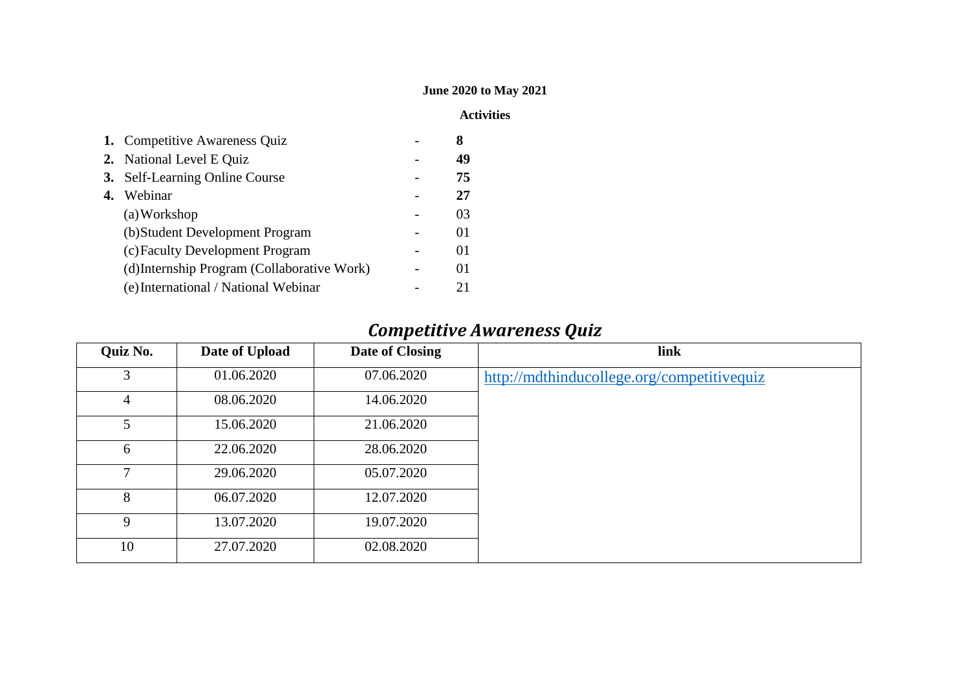#### **June 2020 to May 2021**

#### **Activities**

|    | 1. Competitive Awareness Quiz               | 8       |
|----|---------------------------------------------|---------|
|    | 2. National Level E Quiz                    | 49      |
|    | 3. Self-Learning Online Course              | 75      |
| 4. | Webinar                                     | 27      |
|    | (a) Workshop                                | 03      |
|    | (b) Student Development Program             | 01      |
|    | (c) Faculty Development Program             | 01      |
|    | (d) Internship Program (Collaborative Work) | $^{O1}$ |
|    | (e) International / National Webinar        | 21      |

#### *Competitive Awareness Quiz*

| Quiz No. | Date of Upload | Date of Closing | link                                       |
|----------|----------------|-----------------|--------------------------------------------|
| 3        | 01.06.2020     | 07.06.2020      | http://mdthinducollege.org/competitivequiz |
| 4        | 08.06.2020     | 14.06.2020      |                                            |
| 5        | 15.06.2020     | 21.06.2020      |                                            |
| 6        | 22.06.2020     | 28.06.2020      |                                            |
| $\tau$   | 29.06.2020     | 05.07.2020      |                                            |
| 8        | 06.07.2020     | 12.07.2020      |                                            |
| 9        | 13.07.2020     | 19.07.2020      |                                            |
| 10       | 27.07.2020     | 02.08.2020      |                                            |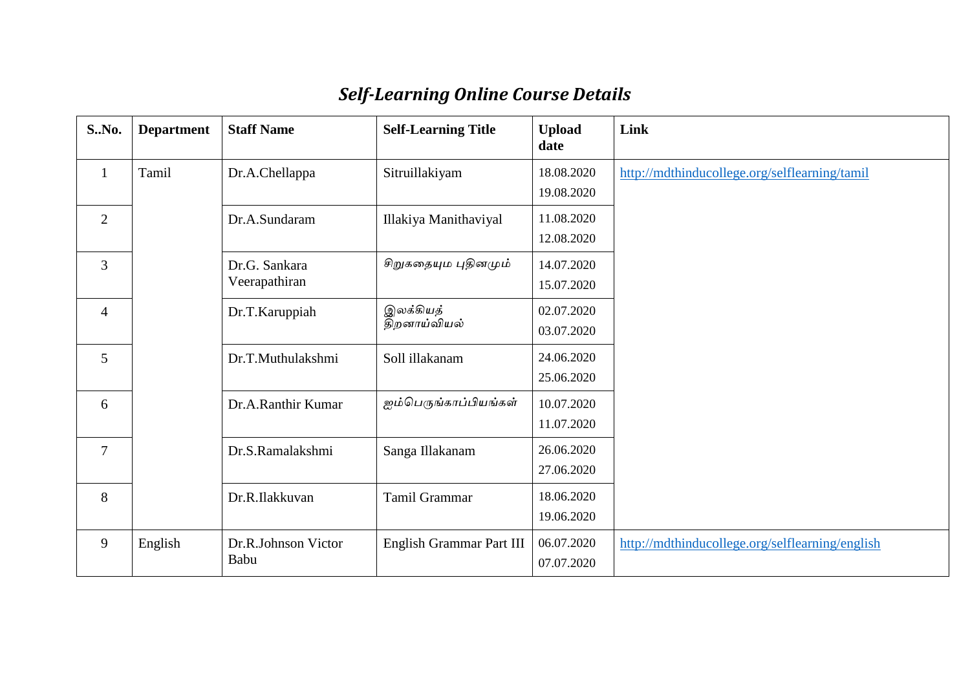| S.No.          | <b>Department</b> | <b>Staff Name</b>              | <b>Self-Learning Title</b> | <b>Upload</b><br>date    | Link                                            |
|----------------|-------------------|--------------------------------|----------------------------|--------------------------|-------------------------------------------------|
| $\mathbf{1}$   | Tamil             | Dr.A.Chellappa                 | Sitruillakiyam             | 18.08.2020<br>19.08.2020 | http://mdthinducollege.org/selflearning/tamil   |
| $\overline{2}$ |                   | Dr.A.Sundaram                  | Illakiya Manithaviyal      | 11.08.2020<br>12.08.2020 |                                                 |
| $\overline{3}$ |                   | Dr.G. Sankara<br>Veerapathiran | சிறுகதையும புதினமும்       | 14.07.2020<br>15.07.2020 |                                                 |
| $\overline{4}$ |                   | Dr.T.Karuppiah                 | இலக்கியத்<br>திறனாய்வியல்  | 02.07.2020<br>03.07.2020 |                                                 |
| 5              |                   | Dr.T.Muthulakshmi              | Soll illakanam             | 24.06.2020<br>25.06.2020 |                                                 |
| 6              |                   | Dr.A.Ranthir Kumar             | ஐம்பெருங்காப்பியங்கள்      | 10.07.2020<br>11.07.2020 |                                                 |
| $\overline{7}$ |                   | Dr.S.Ramalakshmi               | Sanga Illakanam            | 26.06.2020<br>27.06.2020 |                                                 |
| 8              |                   | Dr.R.Ilakkuvan                 | Tamil Grammar              | 18.06.2020<br>19.06.2020 |                                                 |
| 9              | English           | Dr.R.Johnson Victor<br>Babu    | English Grammar Part III   | 06.07.2020<br>07.07.2020 | http://mdthinducollege.org/selflearning/english |

### *Self-Learning Online Course Details*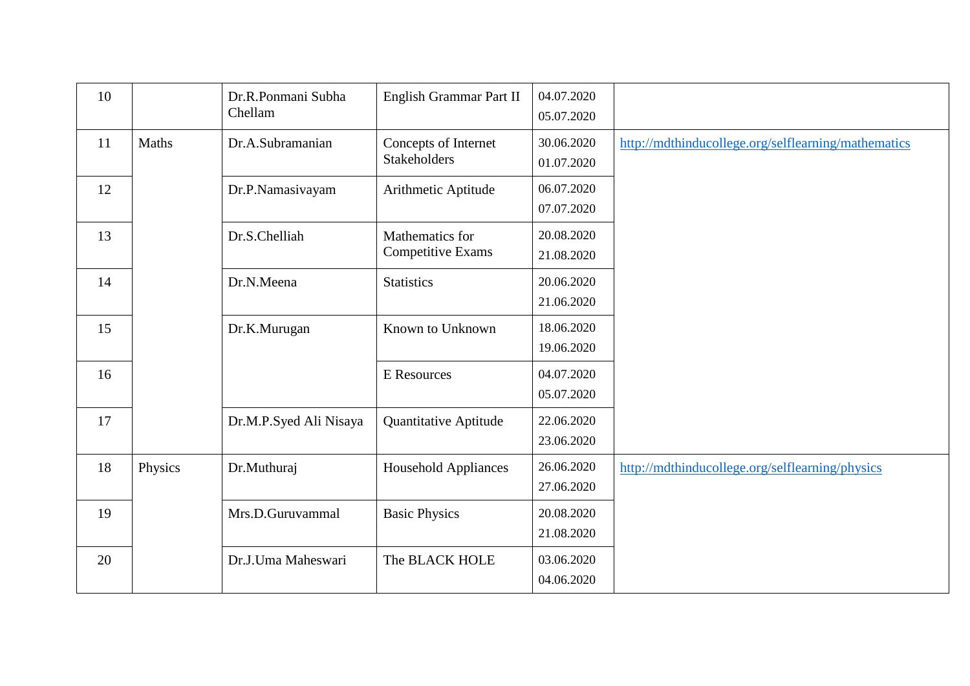| 10 |         | Dr.R.Ponmani Subha<br>Chellam | English Grammar Part II                     | 04.07.2020<br>05.07.2020 |                                                     |
|----|---------|-------------------------------|---------------------------------------------|--------------------------|-----------------------------------------------------|
| 11 | Maths   | Dr.A.Subramanian              | Concepts of Internet<br>Stakeholders        | 30.06.2020<br>01.07.2020 | http://mdthinducollege.org/selflearning/mathematics |
| 12 |         | Dr.P.Namasivayam              | Arithmetic Aptitude                         | 06.07.2020<br>07.07.2020 |                                                     |
| 13 |         | Dr.S.Chelliah                 | Mathematics for<br><b>Competitive Exams</b> | 20.08.2020<br>21.08.2020 |                                                     |
| 14 |         | Dr.N.Meena                    | <b>Statistics</b>                           | 20.06.2020<br>21.06.2020 |                                                     |
| 15 |         | Dr.K.Murugan                  | Known to Unknown                            | 18.06.2020<br>19.06.2020 |                                                     |
| 16 |         |                               | <b>E</b> Resources                          | 04.07.2020<br>05.07.2020 |                                                     |
| 17 |         | Dr.M.P.Syed Ali Nisaya        | <b>Quantitative Aptitude</b>                | 22.06.2020<br>23.06.2020 |                                                     |
| 18 | Physics | Dr.Muthuraj                   | <b>Household Appliances</b>                 | 26.06.2020<br>27.06.2020 | http://mdthinducollege.org/selflearning/physics     |
| 19 |         | Mrs.D.Guruvammal              | <b>Basic Physics</b>                        | 20.08.2020<br>21.08.2020 |                                                     |
| 20 |         | Dr.J.Uma Maheswari            | The BLACK HOLE                              | 03.06.2020<br>04.06.2020 |                                                     |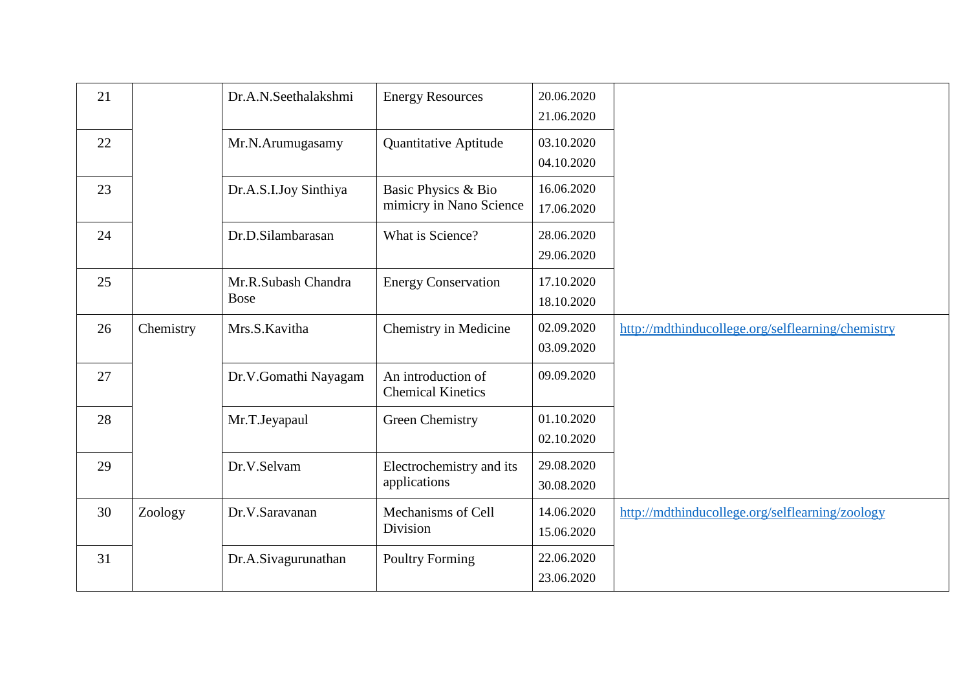| 21 |           | Dr.A.N.Seethalakshmi               | <b>Energy Resources</b>                        | 20.06.2020<br>21.06.2020 |                                                   |
|----|-----------|------------------------------------|------------------------------------------------|--------------------------|---------------------------------------------------|
| 22 |           | Mr.N.Arumugasamy                   | <b>Quantitative Aptitude</b>                   | 03.10.2020<br>04.10.2020 |                                                   |
| 23 |           | Dr.A.S.I.Joy Sinthiya              | Basic Physics & Bio<br>mimicry in Nano Science | 16.06.2020<br>17.06.2020 |                                                   |
| 24 |           | Dr.D.Silambarasan                  | What is Science?                               | 28.06.2020<br>29.06.2020 |                                                   |
| 25 |           | Mr.R.Subash Chandra<br><b>Bose</b> | <b>Energy Conservation</b>                     | 17.10.2020<br>18.10.2020 |                                                   |
| 26 | Chemistry | Mrs.S.Kavitha                      | Chemistry in Medicine                          | 02.09.2020<br>03.09.2020 | http://mdthinducollege.org/selflearning/chemistry |
| 27 |           | Dr.V.Gomathi Nayagam               | An introduction of<br><b>Chemical Kinetics</b> | 09.09.2020               |                                                   |
| 28 |           | Mr.T.Jeyapaul                      | <b>Green Chemistry</b>                         | 01.10.2020<br>02.10.2020 |                                                   |
| 29 |           | Dr.V.Selvam                        | Electrochemistry and its<br>applications       | 29.08.2020<br>30.08.2020 |                                                   |
| 30 | Zoology   | Dr.V.Saravanan                     | Mechanisms of Cell<br>Division                 | 14.06.2020<br>15.06.2020 | http://mdthinducollege.org/selflearning/zoology   |
| 31 |           | Dr.A.Sivagurunathan                | <b>Poultry Forming</b>                         | 22.06.2020<br>23.06.2020 |                                                   |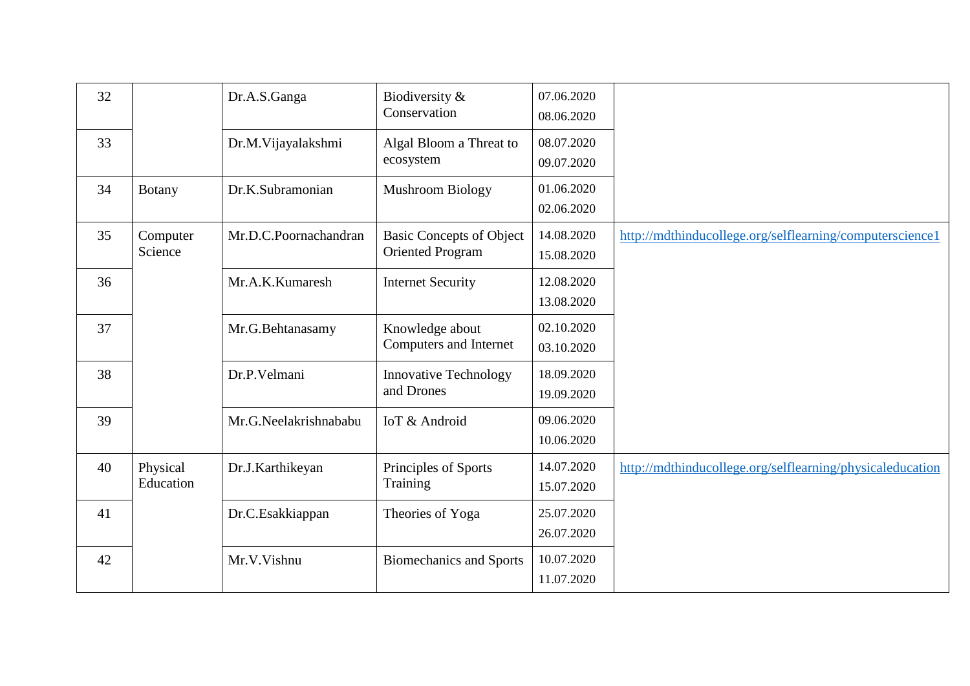| 32 |                       | Dr.A.S.Ganga          | Biodiversity &<br>Conservation                             | 07.06.2020<br>08.06.2020 |                                                           |
|----|-----------------------|-----------------------|------------------------------------------------------------|--------------------------|-----------------------------------------------------------|
| 33 |                       | Dr.M.Vijayalakshmi    | Algal Bloom a Threat to<br>ecosystem                       | 08.07.2020<br>09.07.2020 |                                                           |
| 34 | <b>Botany</b>         | Dr.K.Subramonian      | <b>Mushroom Biology</b>                                    | 01.06.2020<br>02.06.2020 |                                                           |
| 35 | Computer<br>Science   | Mr.D.C.Poornachandran | <b>Basic Concepts of Object</b><br><b>Oriented Program</b> | 14.08.2020<br>15.08.2020 | http://mdthinducollege.org/selflearning/computerscience1  |
| 36 |                       | Mr.A.K.Kumaresh       | <b>Internet Security</b>                                   | 12.08.2020<br>13.08.2020 |                                                           |
| 37 |                       | Mr.G.Behtanasamy      | Knowledge about<br>Computers and Internet                  | 02.10.2020<br>03.10.2020 |                                                           |
| 38 |                       | Dr.P.Velmani          | <b>Innovative Technology</b><br>and Drones                 | 18.09.2020<br>19.09.2020 |                                                           |
| 39 |                       | Mr.G.Neelakrishnababu | IoT & Android                                              | 09.06.2020<br>10.06.2020 |                                                           |
| 40 | Physical<br>Education | Dr.J.Karthikeyan      | Principles of Sports<br>Training                           | 14.07.2020<br>15.07.2020 | http://mdthinducollege.org/selflearning/physicaleducation |
| 41 |                       | Dr.C.Esakkiappan      | Theories of Yoga                                           | 25.07.2020<br>26.07.2020 |                                                           |
| 42 |                       | Mr.V.Vishnu           | <b>Biomechanics and Sports</b>                             | 10.07.2020<br>11.07.2020 |                                                           |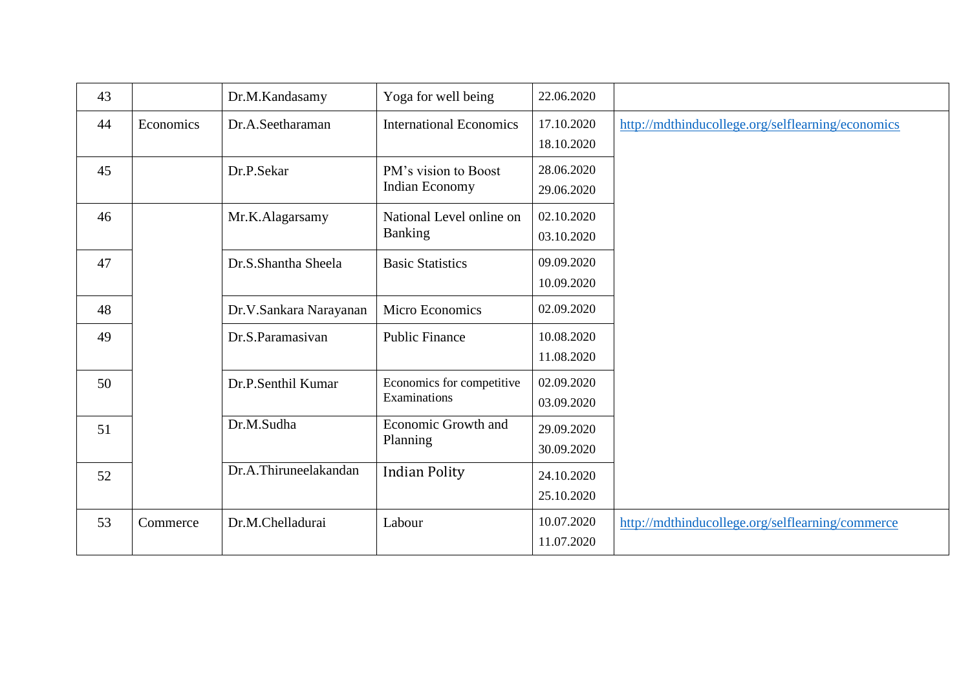| 43 |           | Dr.M.Kandasamy         | Yoga for well being                       | 22.06.2020               |                                                   |
|----|-----------|------------------------|-------------------------------------------|--------------------------|---------------------------------------------------|
| 44 | Economics | Dr.A.Seetharaman       | <b>International Economics</b>            | 17.10.2020<br>18.10.2020 | http://mdthinducollege.org/selflearning/economics |
| 45 |           | Dr.P.Sekar             | PM's vision to Boost<br>Indian Economy    | 28.06.2020<br>29.06.2020 |                                                   |
| 46 |           | Mr.K.Alagarsamy        | National Level online on<br>Banking       | 02.10.2020<br>03.10.2020 |                                                   |
| 47 |           | Dr.S.Shantha Sheela    | <b>Basic Statistics</b>                   | 09.09.2020<br>10.09.2020 |                                                   |
| 48 |           | Dr.V.Sankara Narayanan | Micro Economics                           | 02.09.2020               |                                                   |
| 49 |           | Dr.S.Paramasivan       | <b>Public Finance</b>                     | 10.08.2020<br>11.08.2020 |                                                   |
| 50 |           | Dr.P.Senthil Kumar     | Economics for competitive<br>Examinations | 02.09.2020<br>03.09.2020 |                                                   |
| 51 |           | Dr.M.Sudha             | <b>Economic Growth and</b><br>Planning    | 29.09.2020<br>30.09.2020 |                                                   |
| 52 |           | Dr.A.Thiruneelakandan  | <b>Indian Polity</b>                      | 24.10.2020<br>25.10.2020 |                                                   |
| 53 | Commerce  | Dr.M.Chelladurai       | Labour                                    | 10.07.2020<br>11.07.2020 | http://mdthinducollege.org/selflearning/commerce  |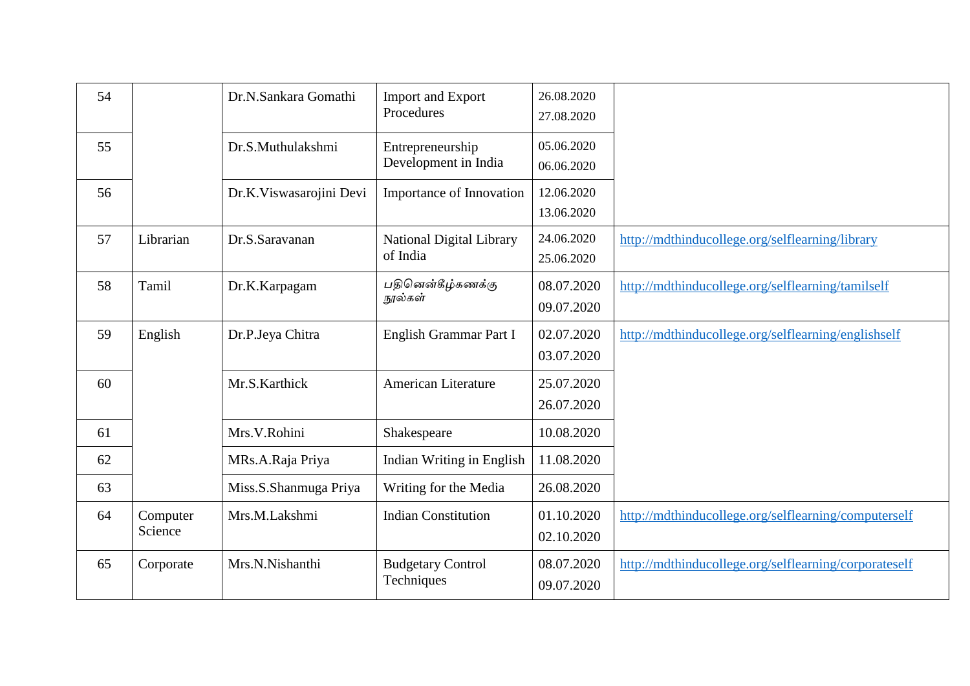| 54 |                     | Dr.N.Sankara Gomathi    | <b>Import and Export</b><br>Procedures   | 26.08.2020<br>27.08.2020 |                                                       |
|----|---------------------|-------------------------|------------------------------------------|--------------------------|-------------------------------------------------------|
| 55 |                     | Dr.S.Muthulakshmi       | Entrepreneurship<br>Development in India | 05.06.2020<br>06.06.2020 |                                                       |
| 56 |                     | Dr.K.Viswasarojini Devi | Importance of Innovation                 | 12.06.2020<br>13.06.2020 |                                                       |
| 57 | Librarian           | Dr.S.Saravanan          | National Digital Library<br>of India     | 24.06.2020<br>25.06.2020 | http://mdthinducollege.org/selflearning/library       |
| 58 | Tamil               | Dr.K.Karpagam           | பதினென்கீழ்கணக்கு<br>நூல்கள்             | 08.07.2020<br>09.07.2020 | http://mdthinducollege.org/selflearning/tamilself     |
| 59 | English             | Dr.P.Jeya Chitra        | English Grammar Part I                   | 02.07.2020<br>03.07.2020 | http://mdthinducollege.org/selflearning/englishself   |
| 60 |                     | Mr.S.Karthick           | American Literature                      | 25.07.2020<br>26.07.2020 |                                                       |
| 61 |                     | Mrs.V.Rohini            | Shakespeare                              | 10.08.2020               |                                                       |
| 62 |                     | MRs.A.Raja Priya        | Indian Writing in English                | 11.08.2020               |                                                       |
| 63 |                     | Miss.S.Shanmuga Priya   | Writing for the Media                    | 26.08.2020               |                                                       |
| 64 | Computer<br>Science | Mrs.M.Lakshmi           | <b>Indian Constitution</b>               | 01.10.2020<br>02.10.2020 | http://mdthinducollege.org/selflearning/computerself  |
| 65 | Corporate           | Mrs.N.Nishanthi         | <b>Budgetary Control</b><br>Techniques   | 08.07.2020<br>09.07.2020 | http://mdthinducollege.org/selflearning/corporateself |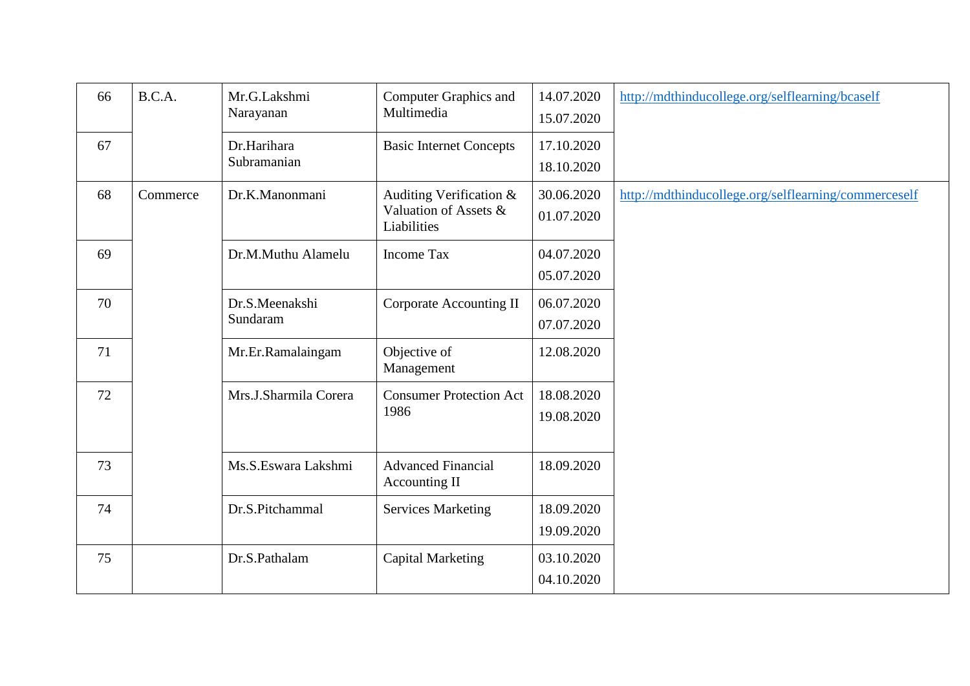| 66 | B.C.A.   | Mr.G.Lakshmi<br>Narayanan  | <b>Computer Graphics and</b><br>Multimedia                      | 14.07.2020<br>15.07.2020 | http://mdthinducollege.org/selflearning/bcaself      |
|----|----------|----------------------------|-----------------------------------------------------------------|--------------------------|------------------------------------------------------|
| 67 |          | Dr.Harihara<br>Subramanian | <b>Basic Internet Concepts</b>                                  | 17.10.2020<br>18.10.2020 |                                                      |
| 68 | Commerce | Dr.K.Manonmani             | Auditing Verification &<br>Valuation of Assets &<br>Liabilities | 30.06.2020<br>01.07.2020 | http://mdthinducollege.org/selflearning/commerceself |
| 69 |          | Dr.M.Muthu Alamelu         | <b>Income Tax</b>                                               | 04.07.2020<br>05.07.2020 |                                                      |
| 70 |          | Dr.S.Meenakshi<br>Sundaram | Corporate Accounting II                                         | 06.07.2020<br>07.07.2020 |                                                      |
| 71 |          | Mr.Er.Ramalaingam          | Objective of<br>Management                                      | 12.08.2020               |                                                      |
| 72 |          | Mrs.J.Sharmila Corera      | <b>Consumer Protection Act</b><br>1986                          | 18.08.2020<br>19.08.2020 |                                                      |
| 73 |          | Ms.S.Eswara Lakshmi        | <b>Advanced Financial</b><br>Accounting II                      | 18.09.2020               |                                                      |
| 74 |          | Dr.S.Pitchammal            | <b>Services Marketing</b>                                       | 18.09.2020<br>19.09.2020 |                                                      |
| 75 |          | Dr.S.Pathalam              | <b>Capital Marketing</b>                                        | 03.10.2020<br>04.10.2020 |                                                      |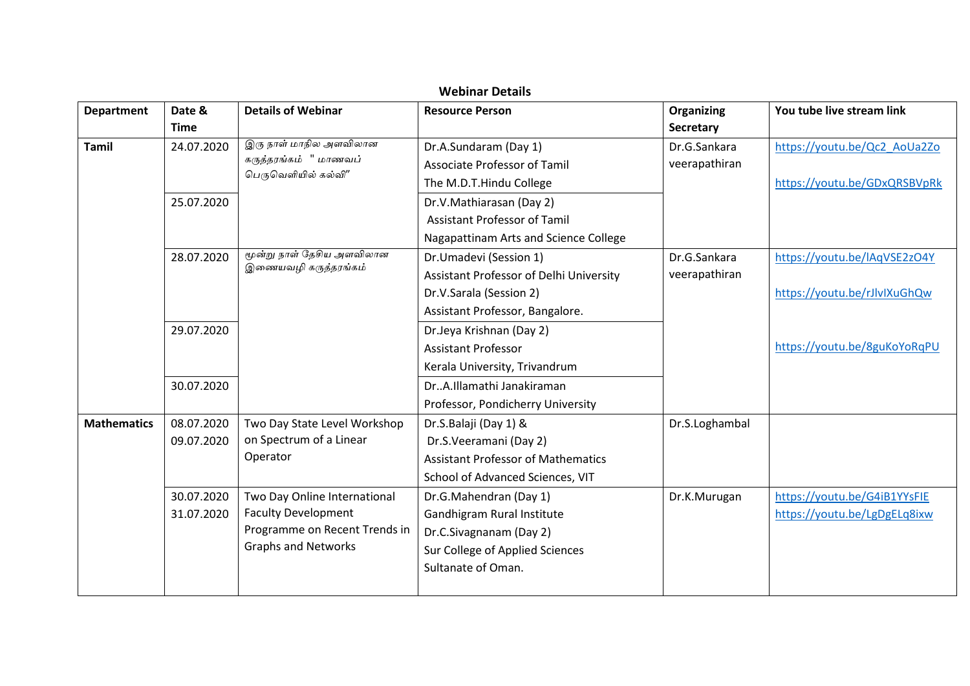|                    |                          |                                                                                                                           | <b>Webinar Details</b>                                                                                                                                    |                                       |                                                              |
|--------------------|--------------------------|---------------------------------------------------------------------------------------------------------------------------|-----------------------------------------------------------------------------------------------------------------------------------------------------------|---------------------------------------|--------------------------------------------------------------|
| <b>Department</b>  | Date &<br><b>Time</b>    | <b>Details of Webinar</b>                                                                                                 | <b>Resource Person</b>                                                                                                                                    | <b>Organizing</b><br><b>Secretary</b> | You tube live stream link                                    |
| <b>Tamil</b>       | 24.07.2020               | இரு நாள் மாநில அளவிலான<br>கருத்தரங்கம் " மாணவப்<br>பெருவெளியில் கல்வி″                                                    | Dr.A.Sundaram (Day 1)<br><b>Associate Professor of Tamil</b>                                                                                              | Dr.G.Sankara<br>veerapathiran         | https://youtu.be/Qc2 AoUa2Zo                                 |
|                    | 25.07.2020               | மூன்று நாள் தேசிய அளவிலான<br>இணையவழி கருத்தரங்கம்                                                                         | The M.D.T.Hindu College<br>Dr.V.Mathiarasan (Day 2)<br><b>Assistant Professor of Tamil</b><br>Nagapattinam Arts and Science College                       |                                       | https://youtu.be/GDxQRSBVpRk                                 |
|                    | 28.07.2020               |                                                                                                                           | Dr.Umadevi (Session 1)<br>Assistant Professor of Delhi University<br>Dr.V.Sarala (Session 2)<br>Assistant Professor, Bangalore.                           | Dr.G.Sankara<br>veerapathiran         | https://youtu.be/lAqVSE2zO4Y<br>https://youtu.be/rJlvlXuGhQw |
|                    | 29.07.2020<br>30.07.2020 |                                                                                                                           | Dr.Jeya Krishnan (Day 2)<br><b>Assistant Professor</b><br>Kerala University, Trivandrum<br>DrA.Illamathi Janakiraman<br>Professor, Pondicherry University |                                       | https://youtu.be/8guKoYoRqPU                                 |
| <b>Mathematics</b> | 08.07.2020<br>09.07.2020 | Two Day State Level Workshop<br>on Spectrum of a Linear<br>Operator                                                       | Dr.S.Balaji (Day 1) &<br>Dr.S.Veeramani (Day 2)<br><b>Assistant Professor of Mathematics</b><br>School of Advanced Sciences, VIT                          | Dr.S.Loghambal                        |                                                              |
|                    | 30.07.2020<br>31.07.2020 | Two Day Online International<br><b>Faculty Development</b><br>Programme on Recent Trends in<br><b>Graphs and Networks</b> | Dr.G.Mahendran (Day 1)<br>Gandhigram Rural Institute<br>Dr.C.Sivagnanam (Day 2)<br>Sur College of Applied Sciences<br>Sultanate of Oman.                  | Dr.K.Murugan                          | https://youtu.be/G4iB1YYsFIE<br>https://youtu.be/LgDgELq8ixw |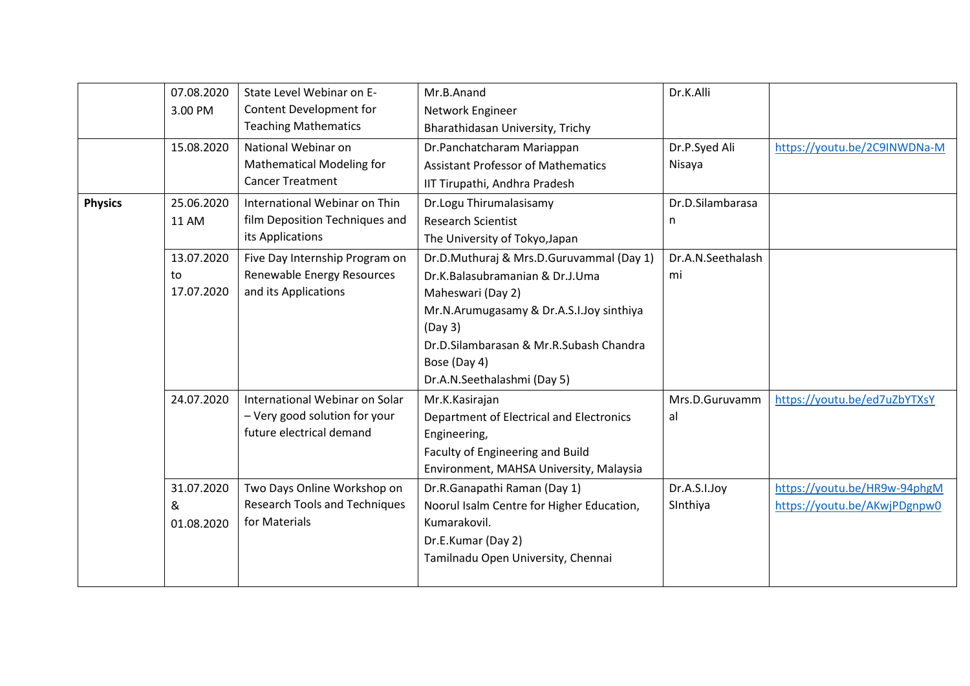|                | 07.08.2020<br>3.00 PM<br>15.08.2020 | State Level Webinar on E-<br>Content Development for<br><b>Teaching Mathematics</b><br>National Webinar on<br><b>Mathematical Modeling for</b><br><b>Cancer Treatment</b> | Mr.B.Anand<br>Network Engineer<br>Bharathidasan University, Trichy<br>Dr.Panchatcharam Mariappan<br><b>Assistant Professor of Mathematics</b><br>IIT Tirupathi, Andhra Pradesh                                                                    | Dr.K.Alli<br>Dr.P.Syed Ali<br>Nisaya | https://youtu.be/2C9INWDNa-M                                 |
|----------------|-------------------------------------|---------------------------------------------------------------------------------------------------------------------------------------------------------------------------|---------------------------------------------------------------------------------------------------------------------------------------------------------------------------------------------------------------------------------------------------|--------------------------------------|--------------------------------------------------------------|
| <b>Physics</b> | 25.06.2020<br>11 AM                 | International Webinar on Thin<br>film Deposition Techniques and<br>its Applications                                                                                       | Dr.Logu Thirumalasisamy<br><b>Research Scientist</b><br>The University of Tokyo, Japan                                                                                                                                                            | Dr.D.Silambarasa<br>n                |                                                              |
|                | 13.07.2020<br>to<br>17.07.2020      | Five Day Internship Program on<br>Renewable Energy Resources<br>and its Applications                                                                                      | Dr.D.Muthuraj & Mrs.D.Guruvammal (Day 1)<br>Dr.K.Balasubramanian & Dr.J.Uma<br>Maheswari (Day 2)<br>Mr.N.Arumugasamy & Dr.A.S.I.Joy sinthiya<br>(Day 3)<br>Dr.D.Silambarasan & Mr.R.Subash Chandra<br>Bose (Day 4)<br>Dr.A.N.Seethalashmi (Day 5) | Dr.A.N.Seethalash<br>mi              |                                                              |
|                | 24.07.2020                          | International Webinar on Solar<br>- Very good solution for your<br>future electrical demand                                                                               | Mr.K.Kasirajan<br>Department of Electrical and Electronics<br>Engineering,<br>Faculty of Engineering and Build<br>Environment, MAHSA University, Malaysia                                                                                         | Mrs.D.Guruvamm<br>al                 | https://youtu.be/ed7uZbYTXsY                                 |
|                | 31.07.2020<br>&<br>01.08.2020       | Two Days Online Workshop on<br><b>Research Tools and Techniques</b><br>for Materials                                                                                      | Dr.R.Ganapathi Raman (Day 1)<br>Noorul Isalm Centre for Higher Education,<br>Kumarakovil.<br>Dr.E.Kumar (Day 2)<br>Tamilnadu Open University, Chennai                                                                                             | Dr.A.S.I.Joy<br>Sinthiya             | https://youtu.be/HR9w-94phgM<br>https://youtu.be/AKwjPDgnpw0 |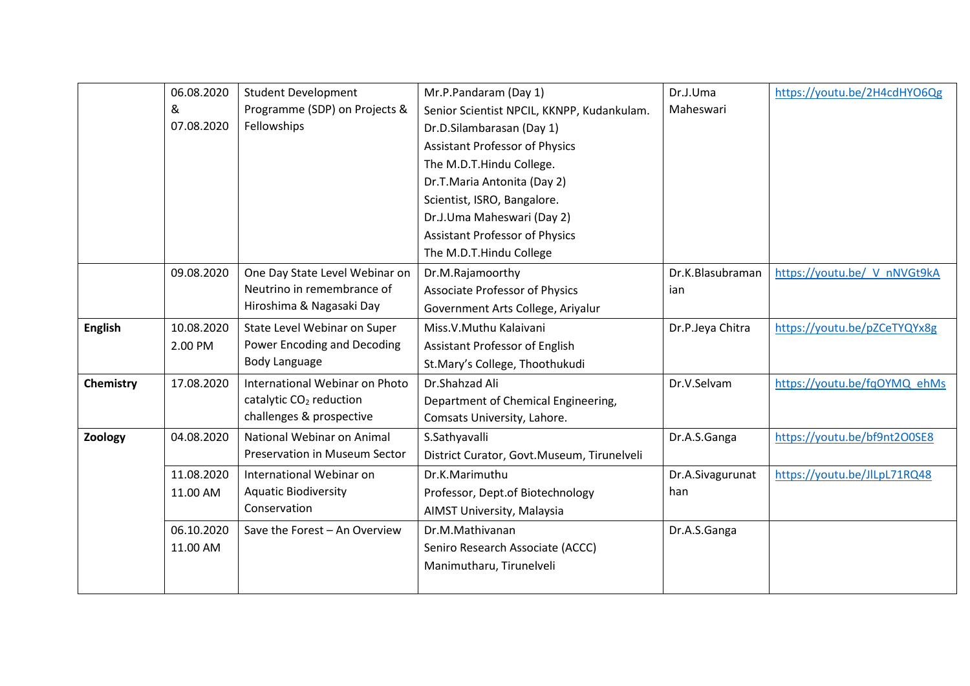|                | 06.08.2020 | <b>Student Development</b>           | Mr.P.Pandaram (Day 1)                      | Dr.J.Uma         | https://youtu.be/2H4cdHYO6Qg |
|----------------|------------|--------------------------------------|--------------------------------------------|------------------|------------------------------|
|                | &          | Programme (SDP) on Projects &        | Senior Scientist NPCIL, KKNPP, Kudankulam. | Maheswari        |                              |
|                | 07.08.2020 | Fellowships                          | Dr.D.Silambarasan (Day 1)                  |                  |                              |
|                |            |                                      | <b>Assistant Professor of Physics</b>      |                  |                              |
|                |            |                                      | The M.D.T.Hindu College.                   |                  |                              |
|                |            |                                      | Dr.T.Maria Antonita (Day 2)                |                  |                              |
|                |            |                                      | Scientist, ISRO, Bangalore.                |                  |                              |
|                |            |                                      | Dr.J.Uma Maheswari (Day 2)                 |                  |                              |
|                |            |                                      | <b>Assistant Professor of Physics</b>      |                  |                              |
|                |            |                                      | The M.D.T.Hindu College                    |                  |                              |
|                | 09.08.2020 | One Day State Level Webinar on       | Dr.M.Rajamoorthy                           | Dr.K.Blasubraman | https://youtu.be/ V nNVGt9kA |
|                |            | Neutrino in remembrance of           | <b>Associate Professor of Physics</b>      | ian              |                              |
|                |            | Hiroshima & Nagasaki Day             | Government Arts College, Ariyalur          |                  |                              |
| <b>English</b> | 10.08.2020 | State Level Webinar on Super         | Miss.V.Muthu Kalaivani                     | Dr.P.Jeya Chitra | https://youtu.be/pZCeTYQYx8g |
|                | 2.00 PM    | Power Encoding and Decoding          | Assistant Professor of English             |                  |                              |
|                |            | Body Language                        | St.Mary's College, Thoothukudi             |                  |                              |
| Chemistry      | 17.08.2020 | International Webinar on Photo       | Dr.Shahzad Ali                             | Dr.V.Selvam      | https://youtu.be/fqOYMQ ehMs |
|                |            | catalytic CO <sub>2</sub> reduction  | Department of Chemical Engineering,        |                  |                              |
|                |            | challenges & prospective             | Comsats University, Lahore.                |                  |                              |
| Zoology        | 04.08.2020 | National Webinar on Animal           | S.Sathyavalli                              | Dr.A.S.Ganga     | https://youtu.be/bf9nt2O0SE8 |
|                |            | <b>Preservation in Museum Sector</b> | District Curator, Govt.Museum, Tirunelveli |                  |                              |
|                | 11.08.2020 | International Webinar on             | Dr.K.Marimuthu                             | Dr.A.Sivagurunat | https://youtu.be/JlLpL71RQ48 |
|                | 11.00 AM   | <b>Aquatic Biodiversity</b>          | Professor, Dept.of Biotechnology           | han              |                              |
|                |            | Conservation                         | AIMST University, Malaysia                 |                  |                              |
|                | 06.10.2020 | Save the Forest - An Overview        | Dr.M.Mathivanan                            | Dr.A.S.Ganga     |                              |
|                | 11.00 AM   |                                      | Seniro Research Associate (ACCC)           |                  |                              |
|                |            |                                      | Manimutharu, Tirunelveli                   |                  |                              |
|                |            |                                      |                                            |                  |                              |
|                |            |                                      |                                            |                  |                              |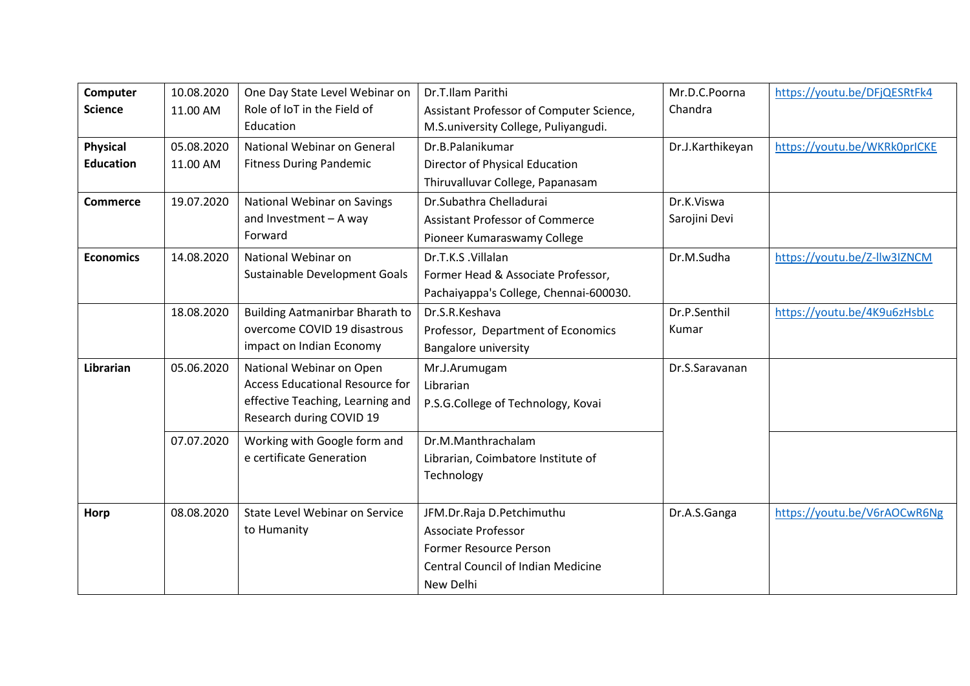| Computer         | 10.08.2020 | One Day State Level Webinar on         | Dr.T.Ilam Parithi                         | Mr.D.C.Poorna    | https://youtu.be/DFjQESRtFk4 |
|------------------|------------|----------------------------------------|-------------------------------------------|------------------|------------------------------|
| <b>Science</b>   | 11.00 AM   | Role of IoT in the Field of            | Assistant Professor of Computer Science,  | Chandra          |                              |
|                  |            | Education                              | M.S.university College, Puliyangudi.      |                  |                              |
| <b>Physical</b>  | 05.08.2020 | National Webinar on General            | Dr.B.Palanikumar                          | Dr.J.Karthikeyan | https://youtu.be/WKRk0prICKE |
| <b>Education</b> | 11.00 AM   | <b>Fitness During Pandemic</b>         | Director of Physical Education            |                  |                              |
|                  |            |                                        | Thiruvalluvar College, Papanasam          |                  |                              |
| <b>Commerce</b>  | 19.07.2020 | National Webinar on Savings            | Dr.Subathra Chelladurai                   | Dr.K.Viswa       |                              |
|                  |            | and Investment $-$ A way               | <b>Assistant Professor of Commerce</b>    | Sarojini Devi    |                              |
|                  |            | Forward                                | Pioneer Kumaraswamy College               |                  |                              |
| <b>Economics</b> | 14.08.2020 | National Webinar on                    | Dr.T.K.S.Villalan                         | Dr.M.Sudha       | https://youtu.be/Z-llw3IZNCM |
|                  |            | Sustainable Development Goals          | Former Head & Associate Professor,        |                  |                              |
|                  |            |                                        | Pachaiyappa's College, Chennai-600030.    |                  |                              |
|                  | 18.08.2020 | Building Aatmanirbar Bharath to        | Dr.S.R.Keshava                            | Dr.P.Senthil     | https://youtu.be/4K9u6zHsbLc |
|                  |            | overcome COVID 19 disastrous           | Professor, Department of Economics        | Kumar            |                              |
|                  |            | impact on Indian Economy               | Bangalore university                      |                  |                              |
| <b>Librarian</b> | 05.06.2020 | National Webinar on Open               | Mr.J.Arumugam                             | Dr.S.Saravanan   |                              |
|                  |            | <b>Access Educational Resource for</b> | Librarian                                 |                  |                              |
|                  |            | effective Teaching, Learning and       | P.S.G.College of Technology, Kovai        |                  |                              |
|                  |            | Research during COVID 19               |                                           |                  |                              |
|                  | 07.07.2020 | Working with Google form and           | Dr.M.Manthrachalam                        |                  |                              |
|                  |            | e certificate Generation               | Librarian, Coimbatore Institute of        |                  |                              |
|                  |            |                                        | Technology                                |                  |                              |
|                  |            |                                        |                                           |                  |                              |
| Horp             | 08.08.2020 | State Level Webinar on Service         | JFM.Dr.Raja D.Petchimuthu                 | Dr.A.S.Ganga     | https://youtu.be/V6rAOCwR6Ng |
|                  |            | to Humanity                            | <b>Associate Professor</b>                |                  |                              |
|                  |            |                                        | <b>Former Resource Person</b>             |                  |                              |
|                  |            |                                        | <b>Central Council of Indian Medicine</b> |                  |                              |
|                  |            |                                        | New Delhi                                 |                  |                              |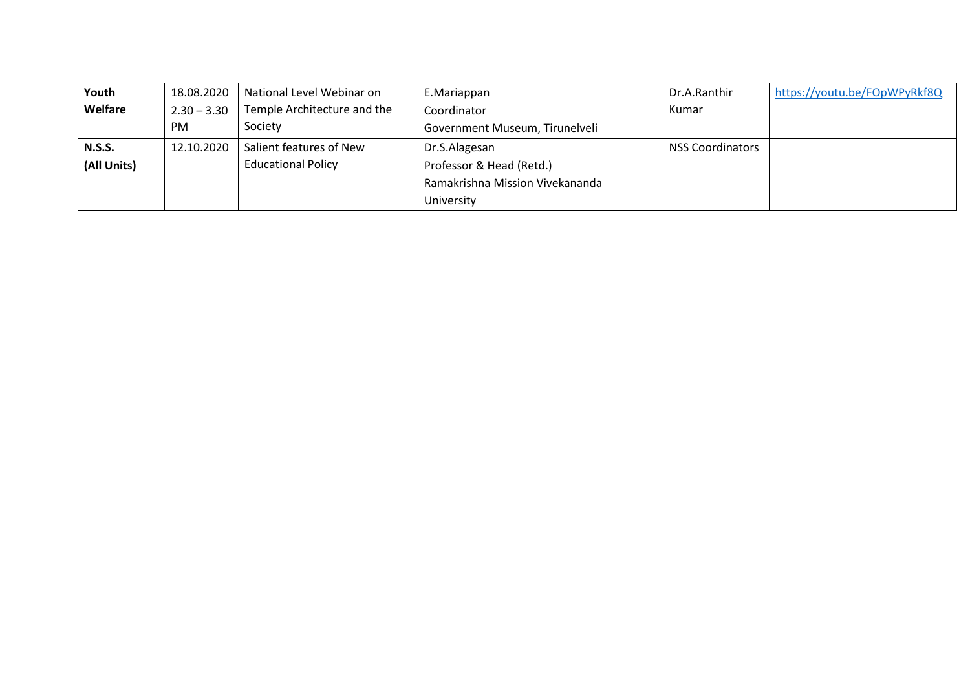| Youth         | 18.08.2020    | National Level Webinar on   | E.Mariappan                     | Dr.A.Ranthir            | https://youtu.be/FOpWPyRkf8Q |
|---------------|---------------|-----------------------------|---------------------------------|-------------------------|------------------------------|
| Welfare       | $2.30 - 3.30$ | Temple Architecture and the | Coordinator                     | Kumar                   |                              |
|               | <b>PM</b>     | Society                     | Government Museum, Tirunelveli  |                         |                              |
| <b>N.S.S.</b> | 12.10.2020    | Salient features of New     | Dr.S.Alagesan                   | <b>NSS Coordinators</b> |                              |
| (All Units)   |               | <b>Educational Policy</b>   | Professor & Head (Retd.)        |                         |                              |
|               |               |                             | Ramakrishna Mission Vivekananda |                         |                              |
|               |               |                             | University                      |                         |                              |